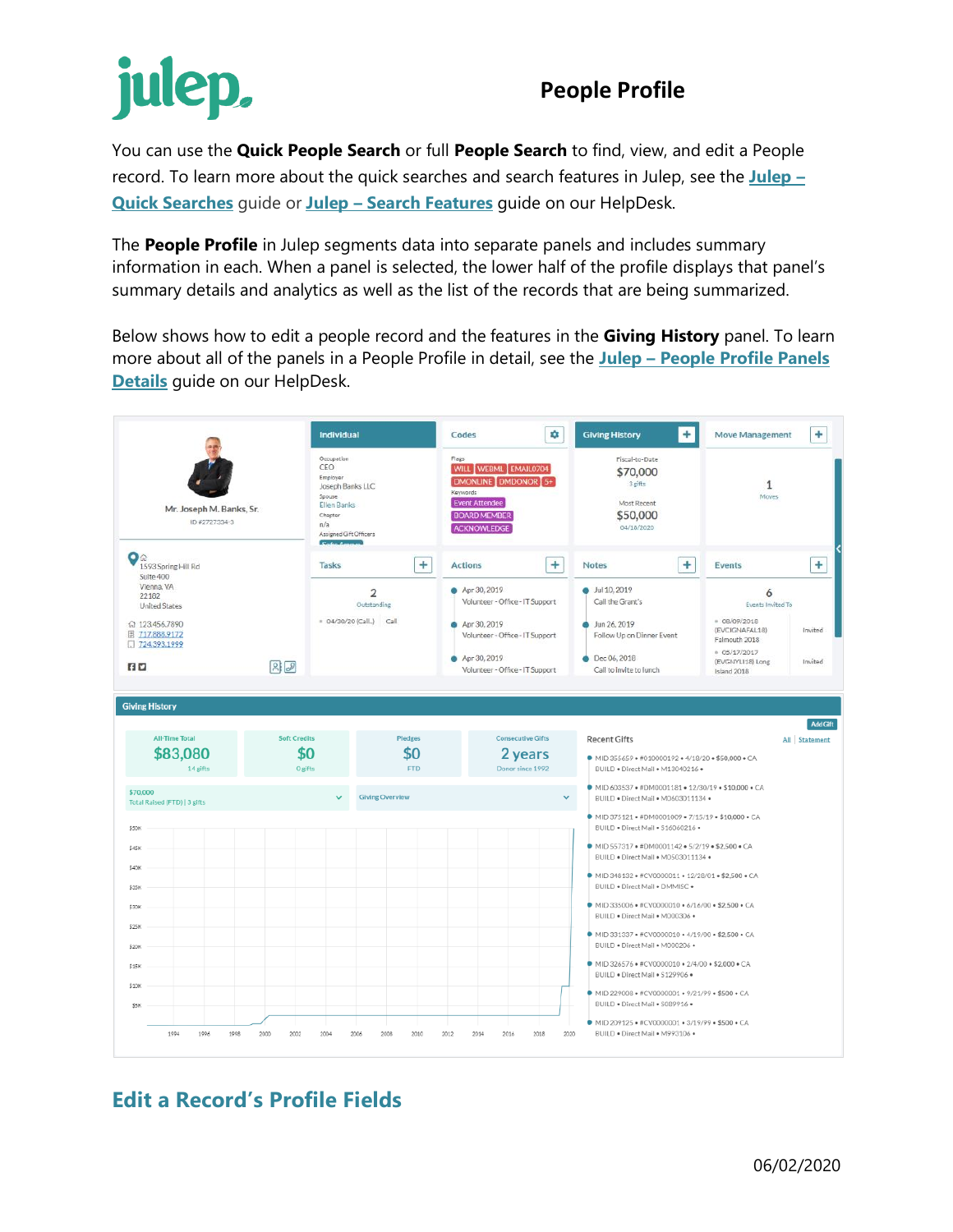## julep,

## **People Profile**

You can use the **Quick People Search** or full **People Search** to find, view, and edit a People record. To learn more about the quick searches and search features in Julep, see the **[Julep](https://support.cmdi.com/hc/en-us/articles/360018142851-Crimson-3-Quick-Searches) – [Quick Searches](https://support.cmdi.com/hc/en-us/articles/360018142851-Crimson-3-Quick-Searches)** guide or **Julep – [Search Features](https://support.cmdi.com/hc/en-us/articles/360016785451-Crimson-3-New-Search-Features)** guide on our HelpDesk.

The **People Profile** in Julep segments data into separate panels and includes summary information in each. When a panel is selected, the lower half of the profile displays that panel's summary details and analytics as well as the list of the records that are being summarized.

Below shows how to edit a people record and the features in the **Giving History** panel. To learn more about all of the panels in a People Profile in detail, see the **Julep – [People Profile Panels](https://support.cmdi.com/hc/en-us/articles/360022889072-Crimson-3-People-Profile-Panel-Detials)  [Details](https://support.cmdi.com/hc/en-us/articles/360022889072-Crimson-3-People-Profile-Panel-Detials)** guide on our HelpDesk.



## **Edit a Record's Profile Fields**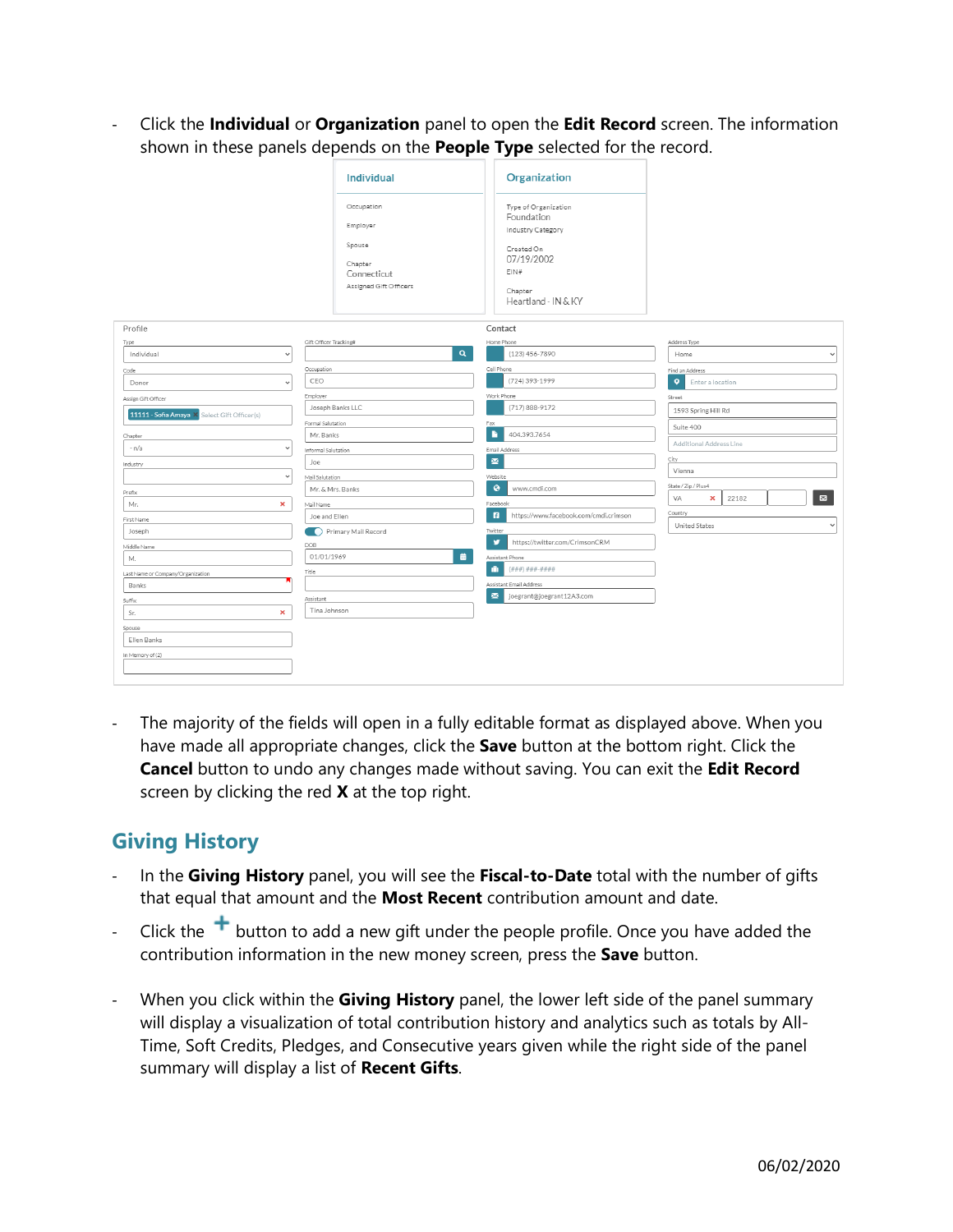- Click the **Individual** or **Organization** panel to open the **Edit Record** screen. The information shown in these panels depends on the **People Type** selected for the record.

|                                              | <b>Individual</b>                                                                    | Organization                                                                                                                  |                                    |  |  |  |
|----------------------------------------------|--------------------------------------------------------------------------------------|-------------------------------------------------------------------------------------------------------------------------------|------------------------------------|--|--|--|
|                                              | Occupation<br>Employer<br>Spouse<br>Chapter<br>Connecticut<br>Assigned Gift Officers | Type of Organization<br>Foundation<br>Industry Category<br>Created On<br>07/19/2002<br>EIN#<br>Chapter<br>Heartland - IN & KY |                                    |  |  |  |
| Profile                                      |                                                                                      | Contact                                                                                                                       |                                    |  |  |  |
| Type                                         | Gift Officer Tracking#                                                               | Home Phone                                                                                                                    | Address Type                       |  |  |  |
| Individual<br>$\ddot{\phantom{0}}$           | $\alpha$                                                                             | (123) 456-7890                                                                                                                | Home<br>$\check{ }$                |  |  |  |
| Code                                         | Occupation                                                                           | Cell Phone                                                                                                                    | Find an Address                    |  |  |  |
| Donor<br>$\ddot{}$                           | CEO                                                                                  | (724) 393-1999                                                                                                                | $\bullet$<br>Enter a location      |  |  |  |
| Assign Gift Officer                          | Employer                                                                             | Work Phone                                                                                                                    | Street                             |  |  |  |
|                                              | Joseph Banks LLC                                                                     | (717) 888-9172                                                                                                                | 1593 Spring Hill Rd                |  |  |  |
| 11111 - Sofia Amaya X Select Gift Officer(s) | Formal Salutation                                                                    | Fax                                                                                                                           |                                    |  |  |  |
| Chapter                                      | Mr. Banks                                                                            | в<br>404.393.7654                                                                                                             | Suite 400                          |  |  |  |
| $- n/a$<br>$\checkmark$                      | Informal Salutation                                                                  | Email Address                                                                                                                 | Additional Address Line            |  |  |  |
| Industry                                     | Joe                                                                                  | $\overline{\mathbf{M}}$                                                                                                       | City                               |  |  |  |
| $\checkmark$                                 | Mail Salutation                                                                      | Website                                                                                                                       | Vienna<br>State / Zip / Plus4      |  |  |  |
|                                              | Mr. & Mrs. Banks                                                                     | $\bullet$<br>www.cmdi.com                                                                                                     |                                    |  |  |  |
| Prefix<br>Mr.<br>×                           |                                                                                      | Facebook                                                                                                                      | ⊠<br>VA<br>$\pmb{\times}$<br>22182 |  |  |  |
|                                              | Mail Name<br>Joe and Ellen                                                           | $\blacksquare$<br>https://www.facebook.com/cmdi.crimson                                                                       | Country                            |  |  |  |
| First Name                                   |                                                                                      |                                                                                                                               | United States<br>$\check{~}$       |  |  |  |
| Joseph                                       | Primary Mail Record                                                                  | Twitter<br>v<br>https://twitter.com/CrimsonCRM                                                                                |                                    |  |  |  |
| Middle Name                                  | DOB<br>盖<br>01/01/1969                                                               |                                                                                                                               |                                    |  |  |  |
| М.                                           |                                                                                      | Assistant Phone<br>Ŵ<br>$( # # #) # # # - # # # #$                                                                            |                                    |  |  |  |
| Last Name or Company/Organization            | Title                                                                                |                                                                                                                               |                                    |  |  |  |
| Banks                                        |                                                                                      | Assistant Email Address<br>$\overline{\mathbf{M}}$                                                                            |                                    |  |  |  |
| Suffix                                       | Assistant                                                                            | joegrant@joegrant12A3.com                                                                                                     |                                    |  |  |  |
| ×<br>Sr.                                     | Tina Johnson                                                                         |                                                                                                                               |                                    |  |  |  |
| Spouse                                       |                                                                                      |                                                                                                                               |                                    |  |  |  |
| Ellen Banks                                  |                                                                                      |                                                                                                                               |                                    |  |  |  |
| In Memory of (2)                             |                                                                                      |                                                                                                                               |                                    |  |  |  |
|                                              |                                                                                      |                                                                                                                               |                                    |  |  |  |
|                                              |                                                                                      |                                                                                                                               |                                    |  |  |  |

The majority of the fields will open in a fully editable format as displayed above. When you have made all appropriate changes, click the **Save** button at the bottom right. Click the **Cancel** button to undo any changes made without saving. You can exit the **Edit Record** screen by clicking the red **X** at the top right.

## **Giving History**

- In the **Giving History** panel, you will see the **Fiscal-to-Date** total with the number of gifts that equal that amount and the **Most Recent** contribution amount and date.
- Click the  $\pm$  button to add a new gift under the people profile. Once you have added the contribution information in the new money screen, press the **Save** button.
- When you click within the **Giving History** panel, the lower left side of the panel summary will display a visualization of total contribution history and analytics such as totals by All-Time, Soft Credits, Pledges, and Consecutive years given while the right side of the panel summary will display a list of **Recent Gifts**.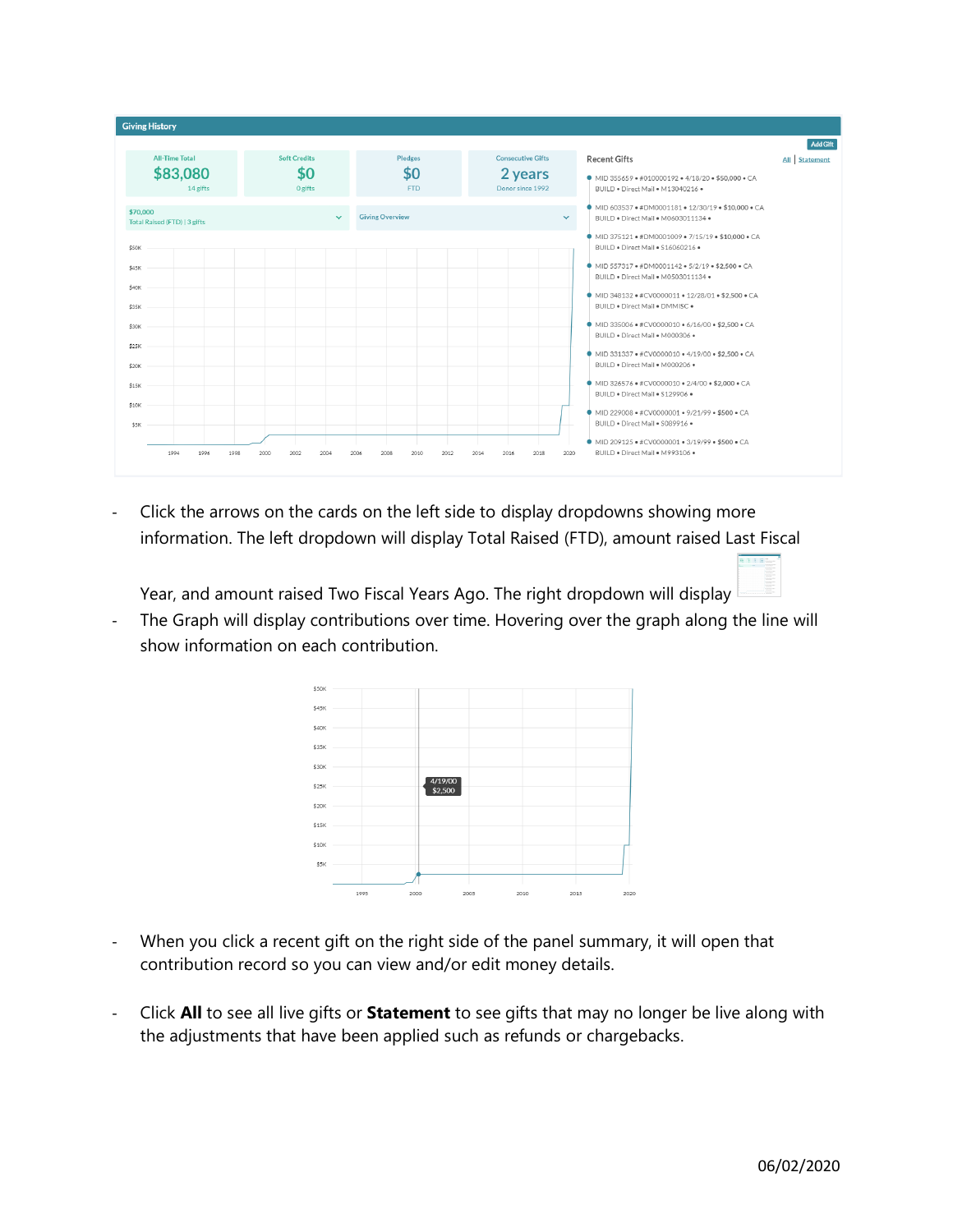

Click the arrows on the cards on the left side to display dropdowns showing more information. The left dropdown will display Total Raised (FTD), amount raised Last Fiscal

Year, and amount raised Two Fiscal Years Ago. The right dropdown will display

The Graph will display contributions over time. Hovering over the graph along the line will show information on each contribution.



- When you click a recent gift on the right side of the panel summary, it will open that contribution record so you can view and/or edit money details.
- Click **All** to see all live gifts or **Statement** to see gifts that may no longer be live along with the adjustments that have been applied such as refunds or chargebacks.

**BIRE**